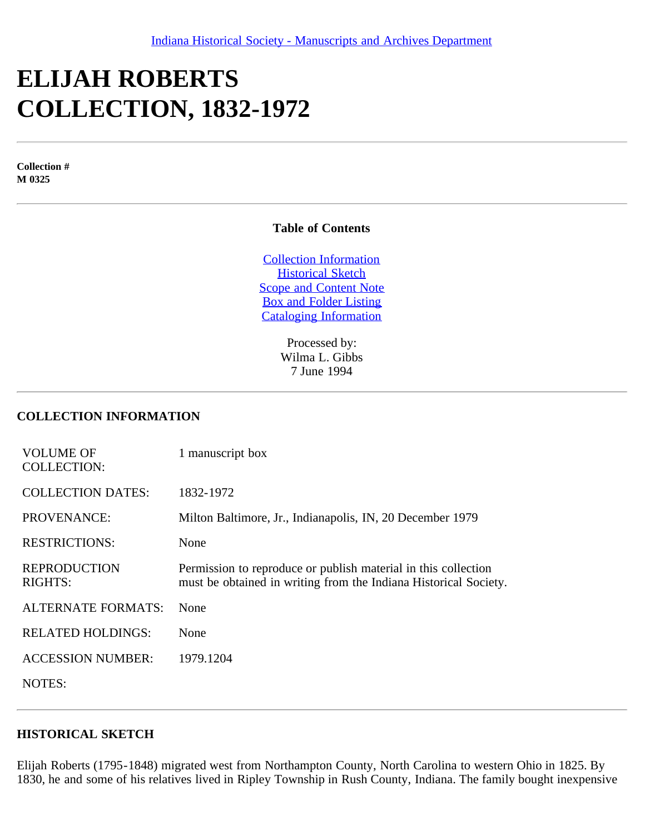# **ELIJAH ROBERTS COLLECTION, 1832-1972**

**Collection # M 0325**

## **Table of Contents**

[Collection Information](#page-0-0) [Historical Sketch](#page-0-1) [Scope and Content Note](#page-1-0) [Box and Folder Listing](#page-1-1) [Cataloging Information](#page-2-0)

> Processed by: Wilma L. Gibbs 7 June 1994

#### <span id="page-0-0"></span>**COLLECTION INFORMATION**

| <b>VOLUME OF</b><br><b>COLLECTION:</b> | 1 manuscript box                                                                                                                   |
|----------------------------------------|------------------------------------------------------------------------------------------------------------------------------------|
| <b>COLLECTION DATES:</b>               | 1832-1972                                                                                                                          |
| <b>PROVENANCE:</b>                     | Milton Baltimore, Jr., Indianapolis, IN, 20 December 1979                                                                          |
| <b>RESTRICTIONS:</b>                   | None                                                                                                                               |
| <b>REPRODUCTION</b><br><b>RIGHTS:</b>  | Permission to reproduce or publish material in this collection<br>must be obtained in writing from the Indiana Historical Society. |
| <b>ALTERNATE FORMATS:</b>              | None                                                                                                                               |
| <b>RELATED HOLDINGS:</b>               | None                                                                                                                               |
| <b>ACCESSION NUMBER:</b>               | 1979.1204                                                                                                                          |
| NOTES:                                 |                                                                                                                                    |

#### <span id="page-0-1"></span>**HISTORICAL SKETCH**

Elijah Roberts (1795-1848) migrated west from Northampton County, North Carolina to western Ohio in 1825. By 1830, he and some of his relatives lived in Ripley Township in Rush County, Indiana. The family bought inexpensive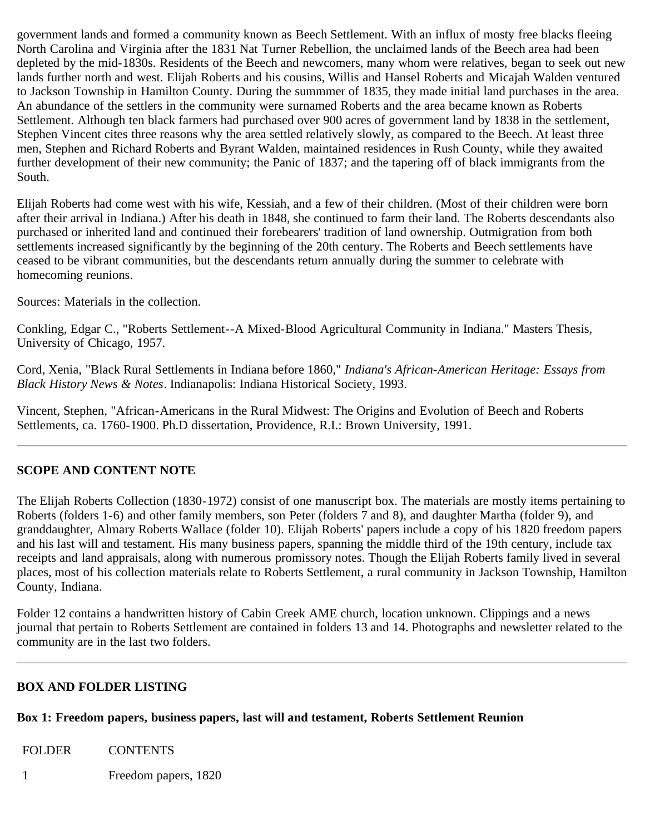government lands and formed a community known as Beech Settlement. With an influx of mosty free blacks fleeing North Carolina and Virginia after the 1831 Nat Turner Rebellion, the unclaimed lands of the Beech area had been depleted by the mid-1830s. Residents of the Beech and newcomers, many whom were relatives, began to seek out new lands further north and west. Elijah Roberts and his cousins, Willis and Hansel Roberts and Micajah Walden ventured to Jackson Township in Hamilton County. During the summmer of 1835, they made initial land purchases in the area. An abundance of the settlers in the community were surnamed Roberts and the area became known as Roberts Settlement. Although ten black farmers had purchased over 900 acres of government land by 1838 in the settlement, Stephen Vincent cites three reasons why the area settled relatively slowly, as compared to the Beech. At least three men, Stephen and Richard Roberts and Byrant Walden, maintained residences in Rush County, while they awaited further development of their new community; the Panic of 1837; and the tapering off of black immigrants from the South.

Elijah Roberts had come west with his wife, Kessiah, and a few of their children. (Most of their children were born after their arrival in Indiana.) After his death in 1848, she continued to farm their land. The Roberts descendants also purchased or inherited land and continued their forebearers' tradition of land ownership. Outmigration from both settlements increased significantly by the beginning of the 20th century. The Roberts and Beech settlements have ceased to be vibrant communities, but the descendants return annually during the summer to celebrate with homecoming reunions.

Sources: Materials in the collection.

Conkling, Edgar C., "Roberts Settlement--A Mixed-Blood Agricultural Community in Indiana." Masters Thesis, University of Chicago, 1957.

Cord, Xenia, "Black Rural Settlements in Indiana before 1860*,*" *Indiana's African-American Heritage: Essays from Black History News & Notes*. Indianapolis: Indiana Historical Society, 1993.

Vincent, Stephen, "African-Americans in the Rural Midwest: The Origins and Evolution of Beech and Roberts Settlements, ca. 1760-1900. Ph.D dissertation, Providence, R.I.: Brown University, 1991.

## <span id="page-1-0"></span>**SCOPE AND CONTENT NOTE**

The Elijah Roberts Collection (1830-1972) consist of one manuscript box. The materials are mostly items pertaining to Roberts (folders 1-6) and other family members, son Peter (folders 7 and 8), and daughter Martha (folder 9), and granddaughter, Almary Roberts Wallace (folder 10). Elijah Roberts' papers include a copy of his 1820 freedom papers and his last will and testament. His many business papers, spanning the middle third of the 19th century, include tax receipts and land appraisals, along with numerous promissory notes. Though the Elijah Roberts family lived in several places, most of his collection materials relate to Roberts Settlement, a rural community in Jackson Township, Hamilton County, Indiana.

Folder 12 contains a handwritten history of Cabin Creek AME church, location unknown. Clippings and a news journal that pertain to Roberts Settlement are contained in folders 13 and 14. Photographs and newsletter related to the community are in the last two folders.

## <span id="page-1-1"></span>**BOX AND FOLDER LISTING**

## **Box 1: Freedom papers, business papers, last will and testament, Roberts Settlement Reunion**

FOLDER CONTENTS

1 Freedom papers, 1820